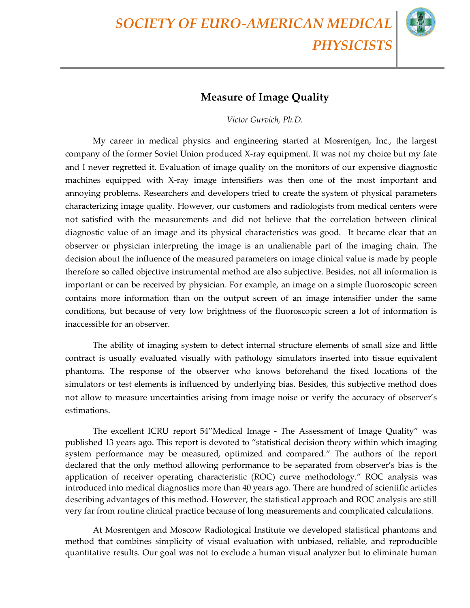*SOCIETY OF EURO-AMERICAN MEDICAL PHYSICISTS*



## **Measure of Image Quality**

*Victor Gurvich, Ph.D.* 

My career in medical physics and engineering started at Mosrentgen, Inc., the largest company of the former Soviet Union produced X-ray equipment. It was not my choice but my fate and I never regretted it. Evaluation of image quality on the monitors of our expensive diagnostic machines equipped with X-ray image intensifiers was then one of the most important and annoying problems. Researchers and developers tried to create the system of physical parameters characterizing image quality. However, our customers and radiologists from medical centers were not satisfied with the measurements and did not believe that the correlation between clinical diagnostic value of an image and its physical characteristics was good. It became clear that an observer or physician interpreting the image is an unalienable part of the imaging chain. The decision about the influence of the measured parameters on image clinical value is made by people therefore so called objective instrumental method are also subjective. Besides, not all information is important or can be received by physician. For example, an image on a simple fluoroscopic screen contains more information than on the output screen of an image intensifier under the same conditions, but because of very low brightness of the fluoroscopic screen a lot of information is inaccessible for an observer.

The ability of imaging system to detect internal structure elements of small size and little contract is usually evaluated visually with pathology simulators inserted into tissue equivalent phantoms. The response of the observer who knows beforehand the fixed locations of the simulators or test elements is influenced by underlying bias. Besides, this subjective method does not allow to measure uncertainties arising from image noise or verify the accuracy of observer's estimations.

The excellent ICRU report 54"Medical Image - The Assessment of Image Quality" was published 13 years ago. This report is devoted to "statistical decision theory within which imaging system performance may be measured, optimized and compared." The authors of the report declared that the only method allowing performance to be separated from observer's bias is the application of receiver operating characteristic (ROC) curve methodology." ROC analysis was introduced into medical diagnostics more than 40 years ago. There are hundred of scientific articles describing advantages of this method. However, the statistical approach and ROC analysis are still very far from routine clinical practice because of long measurements and complicated calculations.

At Mosrentgen and Moscow Radiological Institute we developed statistical phantoms and method that combines simplicity of visual evaluation with unbiased, reliable, and reproducible quantitative results. Our goal was not to exclude a human visual analyzer but to eliminate human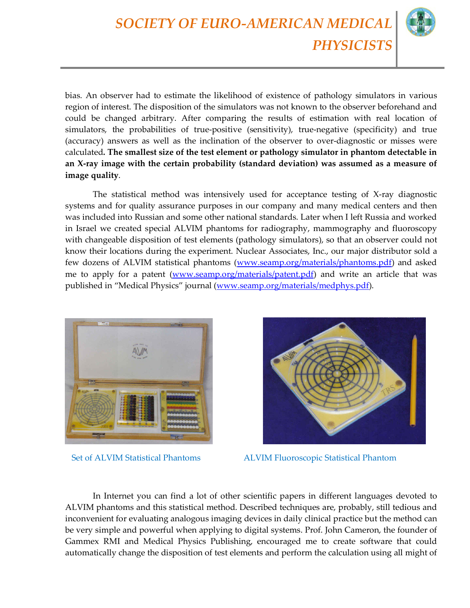*SOCIETY OF EURO-AMERICAN MEDICAL PHYSICISTS*

bias. An observer had to estimate the likelihood of existence of pathology simulators in various region of interest. The disposition of the simulators was not known to the observer beforehand and could be changed arbitrary. After comparing the results of estimation with real location of simulators, the probabilities of true-positive (sensitivity), true-negative (specificity) and true (accuracy) answers as well as the inclination of the observer to over-diagnostic or misses were calculated**. The smallest size of the test element or pathology simulator in phantom detectable in an X-ray image with the certain probability (standard deviation) was assumed as a measure of image quality**.

The statistical method was intensively used for acceptance testing of X-ray diagnostic systems and for quality assurance purposes in our company and many medical centers and then was included into Russian and some other national standards. Later when I left Russia and worked in Israel we created special ALVIM phantoms for radiography, mammography and fluoroscopy with changeable disposition of test elements (pathology simulators), so that an observer could not know their locations during the experiment. Nuclear Associates, Inc., our major distributor sold a few dozens of ALVIM statistical phantoms (www.seamp.org/materials/phantoms.pdf) and asked me to apply for a patent (www.seamp.org/materials/patent.pdf) and write an article that was published in "Medical Physics" journal (www.seamp.org/materials/medphys.pdf).





Set of ALVIM Statistical Phantoms ALVIM Fluoroscopic Statistical Phantom

In Internet you can find a lot of other scientific papers in different languages devoted to ALVIM phantoms and this statistical method. Described techniques are, probably, still tedious and inconvenient for evaluating analogous imaging devices in daily clinical practice but the method can be very simple and powerful when applying to digital systems. Prof. John Cameron, the founder of Gammex RMI and Medical Physics Publishing, encouraged me to create software that could automatically change the disposition of test elements and perform the calculation using all might of